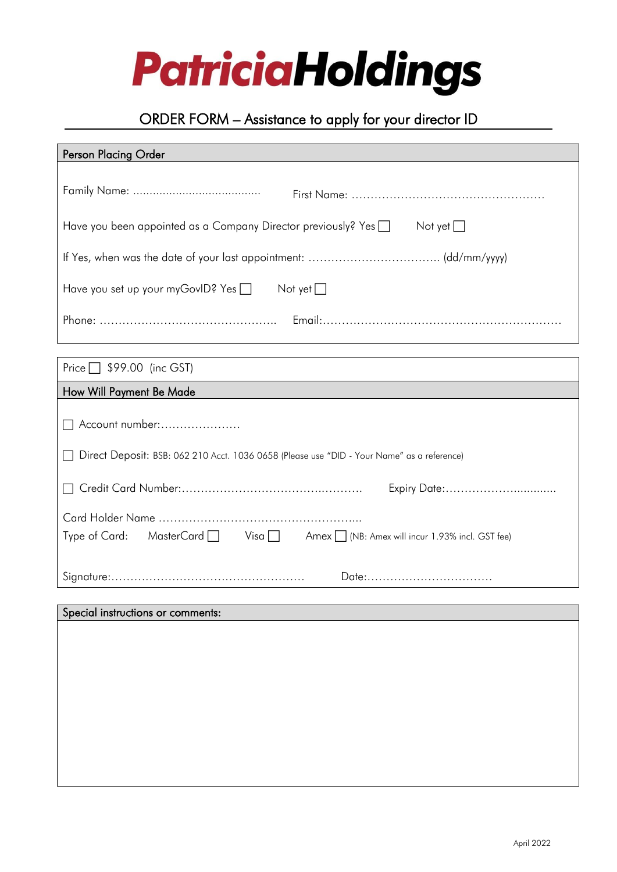

# ORDER FORM – Assistance to apply for your director ID

# Person Placing Order

| Have you been appointed as a Company Director previously? Yes a Not yet                    |
|--------------------------------------------------------------------------------------------|
|                                                                                            |
| Have you set up your myGovID? Yes □ Not yet □                                              |
|                                                                                            |
| Price $\Box$ \$99.00 (inc GST)                                                             |
| How Will Payment Be Made                                                                   |
| Account number:                                                                            |
| Direct Deposit: BSB: 062 210 Acct. 1036 0658 (Please use "DID - Your Name" as a reference) |
| Expiry Date:                                                                               |
|                                                                                            |
| Type of Card: MasterCard   Visa   Amex   (NB: Amex will incur 1.93% incl. GST fee)         |
| Date:                                                                                      |
| Special instructions or comments:                                                          |
|                                                                                            |
|                                                                                            |
|                                                                                            |
|                                                                                            |
|                                                                                            |
|                                                                                            |